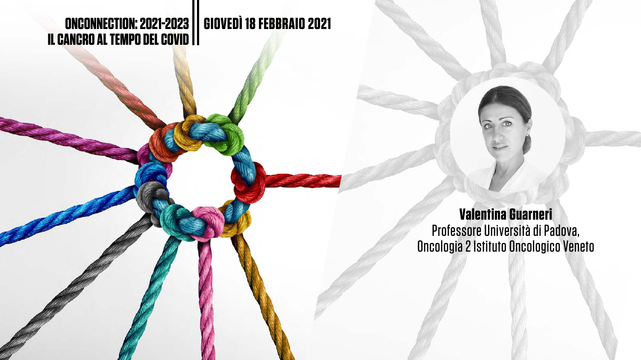

## **ONCONNECTION: 2021-2023 GIOVEDÌ 18 FEBBRAIO 2021**

# **IL CANCRO AL TEMPO DEL COVID**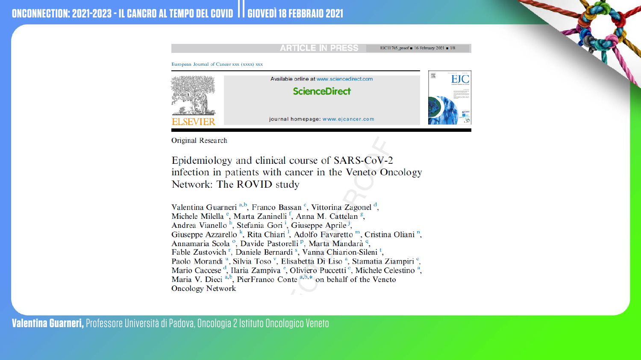European Journal of Cancer xxx (xxxx) xxx



Original Research

Epidemiology and clinical course of SARS-CoV-2 infection in patients with cancer in the Veneto Oncology Network: The ROVID study

Valentina Guarneri<sup>a,b</sup>, Franco Bassan<sup>c</sup>, Vittorina Zagonel<sup>d</sup>, Michele Milella<sup>e</sup>, Marta Zaninelli<sup>f</sup>, Anna M. Cattelan<sup>g</sup>, Andrea Vianello<sup>h</sup>, Stefania Gori<sup>i</sup>, Giuseppe Aprile<sup>j</sup>, Giuseppe Azzarello<sup>k</sup>, Rita Chiari<sup>1</sup>, Adolfo Favaretto<sup>m</sup>, Cristina Oliani<sup>n</sup>, Annamaria Scola<sup>o</sup>, Davide Pastorelli<sup>p</sup>, Marta Mandarà<sup>q</sup>, Fable Zustovich<sup>r</sup>, Daniele Bernardi<sup>s</sup>, Vanna Chiarion-Sileni<sup>t</sup>, Paolo Morandi<sup>u</sup>, Silvia Toso<sup>v</sup>, Elisabetta Di Liso<sup>a</sup>, Stamatia Ziampiri<sup>c</sup>, Mario Caccese<sup>d</sup>, Ilaria Zampiva<sup>e</sup>, Oliviero Puccetti<sup>e</sup>, Michele Celestino<sup>a</sup>, Maria V. Dieci<sup>a,b</sup>, PierFranco Conte<sup>a,b,\*</sup> on behalf of the Veneto **Oncology Network** 

**Valentina Guarneri,** Professore Università di Padova, Oncologia 2 Istituto Oncologico Veneto

### **ARTICLE IN PRESS**

EJC11765\_proof = 16 February 2021 = 1/8

Available online at www.sciencedirect.com

### **ScienceDirect**



journal homepage: www.ejcancer.com



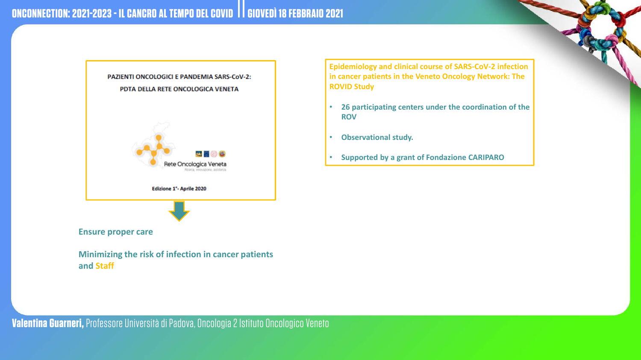

**Minimizing the risk of infection in cancer patients and Staff**

**Epidemiology and clinical course of SARS-CoV-2 infection in cancer patients in the Veneto Oncology Network: The ROVID Study**

- **26 participating centers under the coordination of the ROV**
- **Observational study.**
- **Supported by a grant of Fondazione CARIPARO**

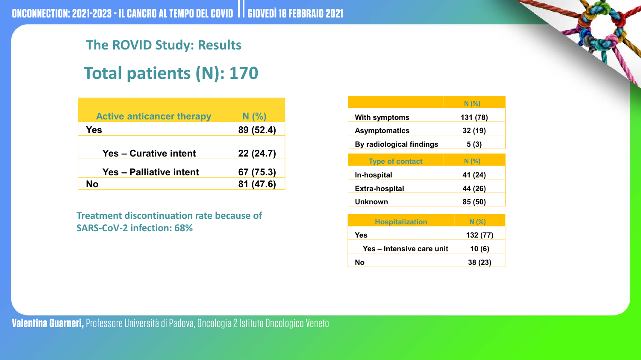## **The ROVID Study: Results Total patients (N): 170**

|                                 | N(%)     |
|---------------------------------|----------|
| <b>With symptoms</b>            | 131 (78) |
| <b>Asymptomatics</b>            | 32(19)   |
| <b>By radiological findings</b> | 5(3)     |
|                                 |          |
|                                 |          |
| <b>Type of contact</b>          | N(%)     |
| <b>In-hospital</b>              | 41 (24)  |
| <b>Extra-hospital</b>           | 44 (26)  |
| Unknown                         | 85 (50)  |

| <b>Hospitalization</b>    | N(%      |
|---------------------------|----------|
| <b>Yes</b>                | 132 (77) |
| Yes – Intensive care unit | 10(6)    |
| No                        | 38(23)   |



| <b>Active anticancer therapy</b> | N(%)      |
|----------------------------------|-----------|
| Yes                              | 89 (52.4) |
| <b>Yes – Curative intent</b>     | 22(24.7)  |
| <b>Yes - Palliative intent</b>   | 67 (75.3) |
| <b>No</b>                        | 81 (47.6) |

**Treatment discontinuation rate because of SARS-CoV-2 infection: 68%**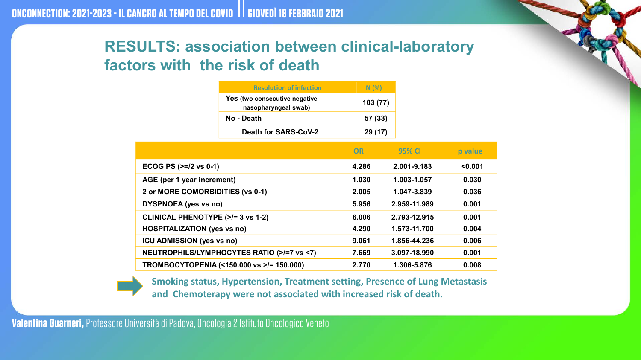| fection       | N(%)     |  |
|---------------|----------|--|
| gative<br>ab) | 103 (77) |  |
|               | 57 (33)  |  |
| <b>COV-2</b>  | 29 (17)  |  |

|       | OR    | 95% CI       | p value |
|-------|-------|--------------|---------|
|       | 4.286 | 2.001-9.183  | $0.001$ |
|       | 1.030 | 1.003-1.057  | 0.030   |
|       | 2.005 | 1.047-3.839  | 0.036   |
|       | 5.956 | 2.959-11.989 | 0.001   |
|       | 6.006 | 2.793-12.915 | 0.001   |
|       | 4.290 | 1.573-11.700 | 0.004   |
|       | 9.061 | 1.856-44.236 | 0.006   |
| s <7) | 7.669 | 3.097-18.990 | 0.001   |
|       | 2.770 | 1.306-5.876  | 0.008   |



**AGE (per 1 year increment) 1.030 1.003-1.057 0.030**

**2 or MORE COMORBIDITIES (vs 0-1) 2.005 1.047-3.839 0.036**

**DYSPNOEA (yes vs no) 5.956 2.959-11.989 0.001**

**CLINICAL PHENOTYPE (>/= 3 vs 1-2) 6.006 2.793-12.915 0.001**

**HOSPITALIZATION (yes vs no) 4.290 1.573-11.700 0.004**

**ICU ADMISSION** (yes vs no)

**NEUTROPHILS/LYMPHOCYTES RATIO (>/=7 vs** 

**TROMBOCYTOPENIA (<150.000 vs >/= 150.000) 2.770 1.306-5.876 0.008**

**Smoking status, Hypertension, Treatment setting, Presence of Lung Metastasis and Chemoterapy were not associated with increased risk of death.**

### **RESULTS: association between clinical-laboratory factors with the risk of death**

### **Resolution of in**

**Yes** (two consecutive neg **nasopharyngeal** swa

**No - Death 57 (33)**

**Death for SARS-C** 

**ECOG PS** ( $>=$ /2 vs 0-1)